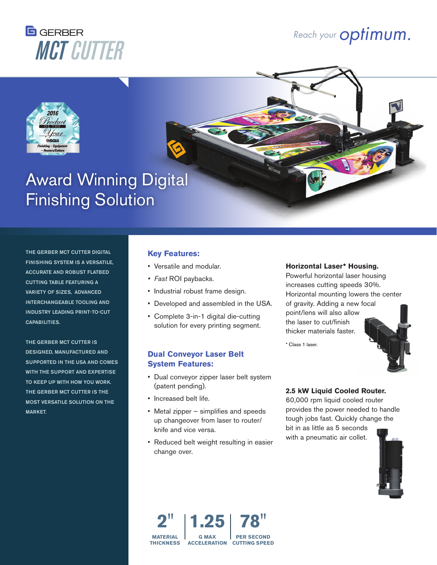

## *Reach your optimum.*



# Award Winning Digital Finishing Solution

THE GERBER MCT CUTTER DIGITAL FINISHING SYSTEM IS A VERSATILE, ACCURATE AND ROBUST FLATBED CUTTING TABLE FEATURING A VARIETY OF SIZES, ADVANCED INTERCHANGEABLE TOOLING AND INDUSTRY LEADING PRINT-TO-CUT CAPABILITIES.

THE GERBER MCT CUTTER IS DESIGNED, MANUFACTURED AND SUPPORTED IN THE USA AND COMES WITH THE SUPPORT AND EXPERTISE TO KEEP UP WITH HOW YOU WORK. THE GERBER MCT CUTTER IS THE MOST VERSATILE SOLUTION ON THE MARKET.

### **Key Features:**

- Versatile and modular.
- *• Fast* ROI paybacks.
- Industrial robust frame design.
- Developed and assembled in the USA.
- Complete 3-in-1 digital die-cutting solution for every printing segment.

### **Dual Conveyor Laser Belt System Features:**

- Dual conveyor zipper laser belt system (patent pending).
- Increased belt life.
- Metal zipper simplifies and speeds up changeover from laser to router/ knife and vice versa.
- Reduced belt weight resulting in easier change over.

#### **Horizontal Laser\* Housing.**

Powerful horizontal laser housing increases cutting speeds 30%. Horizontal mounting lowers the center of gravity. Adding a new focal point/lens will also allow the laser to cut/finish thicker materials faster.

\* Class 1 laser.



#### **2.5 kW Liquid Cooled Router.**

60,000 rpm liquid cooled router provides the power needed to handle tough jobs fast. Quickly change the bit in as little as 5 seconds

with a pneumatic air collet.